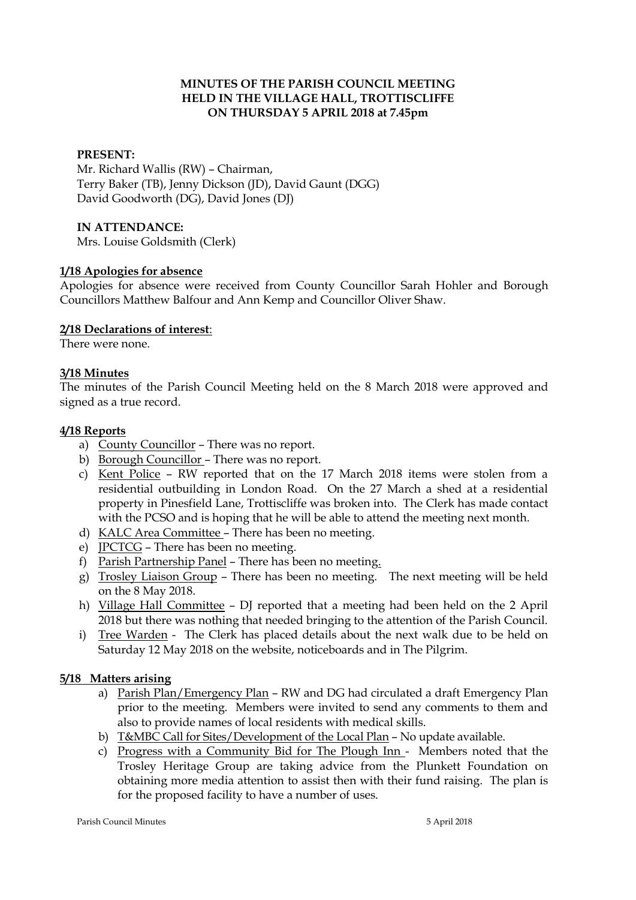## **MINUTES OF THE PARISH COUNCIL MEETING HELD IN THE VILLAGE HALL, TROTTISCLIFFE ON THURSDAY 5 APRIL 2018 at 7.45pm**

### **PRESENT:**

Mr. Richard Wallis (RW) – Chairman, Terry Baker (TB), Jenny Dickson (JD), David Gaunt (DGG) David Goodworth (DG), David Jones (DJ)

### **IN ATTENDANCE:**

Mrs. Louise Goldsmith (Clerk)

#### **1/18 Apologies for absence**

Apologies for absence were received from County Councillor Sarah Hohler and Borough Councillors Matthew Balfour and Ann Kemp and Councillor Oliver Shaw.

#### **2/18 Declarations of interest**:

There were none.

#### **3/18 Minutes**

The minutes of the Parish Council Meeting held on the 8 March 2018 were approved and signed as a true record.

#### **4/18 Reports**

- a) County Councillor There was no report.
- b) Borough Councillor There was no report.
- c) Kent Police RW reported that on the 17 March 2018 items were stolen from a residential outbuilding in London Road. On the 27 March a shed at a residential property in Pinesfield Lane, Trottiscliffe was broken into. The Clerk has made contact with the PCSO and is hoping that he will be able to attend the meeting next month.
- d) KALC Area Committee There has been no meeting.
- e) JPCTCG There has been no meeting.
- f) Parish Partnership Panel There has been no meeting.
- g) Trosley Liaison Group There has been no meeting. The next meeting will be held on the 8 May 2018.
- h) Village Hall Committee DJ reported that a meeting had been held on the 2 April 2018 but there was nothing that needed bringing to the attention of the Parish Council.
- i) Tree Warden The Clerk has placed details about the next walk due to be held on Saturday 12 May 2018 on the website, noticeboards and in The Pilgrim.

## **5/18 Matters arising**

- a) Parish Plan/Emergency Plan RW and DG had circulated a draft Emergency Plan prior to the meeting. Members were invited to send any comments to them and also to provide names of local residents with medical skills.
- b) T&MBC Call for Sites/Development of the Local Plan No update available.
- c) Progress with a Community Bid for The Plough Inn Members noted that the Trosley Heritage Group are taking advice from the Plunkett Foundation on obtaining more media attention to assist then with their fund raising. The plan is for the proposed facility to have a number of uses.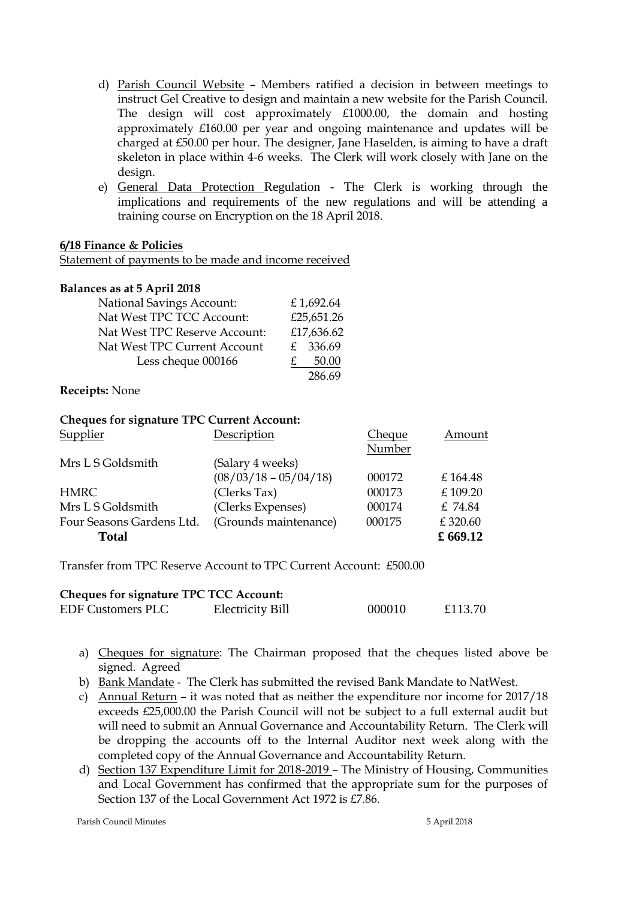- d) Parish Council Website Members ratified a decision in between meetings to instruct Gel Creative to design and maintain a new website for the Parish Council. The design will cost approximately £1000.00, the domain and hosting approximately £160.00 per year and ongoing maintenance and updates will be charged at £50.00 per hour. The designer, Jane Haselden, is aiming to have a draft skeleton in place within 4-6 weeks. The Clerk will work closely with Jane on the design.
- e) General Data Protection Regulation The Clerk is working through the implications and requirements of the new regulations and will be attending a training course on Encryption on the 18 April 2018.

#### **6/18 Finance & Policies**

Statement of payments to be made and income received

#### **Balances as at 5 April 2018**

| <b>National Savings Account:</b> | £1,692.64  |
|----------------------------------|------------|
| Nat West TPC TCC Account:        | £25,651.26 |
| Nat West TPC Reserve Account:    | £17,636.62 |
| Nat West TPC Current Account     | £ 336.69   |
| Less cheque 000166               | 50.00      |
|                                  | 286.69     |

**Receipts:** None

#### **Cheques for signature TPC Current Account:**

|        | Amount   |
|--------|----------|
| Number |          |
|        |          |
| 000172 | £164.48  |
| 000173 | £109.20  |
| 000174 | £ 74.84  |
| 000175 | £320.60  |
|        | £ 669.12 |
|        | Cheque   |

Transfer from TPC Reserve Account to TPC Current Account: £500.00

| <b>Cheques for signature TPC TCC Account:</b> |                         |        |         |  |  |
|-----------------------------------------------|-------------------------|--------|---------|--|--|
| <b>EDF Customers PLC</b>                      | <b>Electricity Bill</b> | 000010 | £113.70 |  |  |

- a) Cheques for signature: The Chairman proposed that the cheques listed above be signed. Agreed
- b) Bank Mandate The Clerk has submitted the revised Bank Mandate to NatWest.
- c) Annual Return it was noted that as neither the expenditure nor income for 2017/18 exceeds £25,000.00 the Parish Council will not be subject to a full external audit but will need to submit an Annual Governance and Accountability Return. The Clerk will be dropping the accounts off to the Internal Auditor next week along with the completed copy of the Annual Governance and Accountability Return.
- d) Section 137 Expenditure Limit for 2018-2019 The Ministry of Housing, Communities and Local Government has confirmed that the appropriate sum for the purposes of Section 137 of the Local Government Act 1972 is £7.86.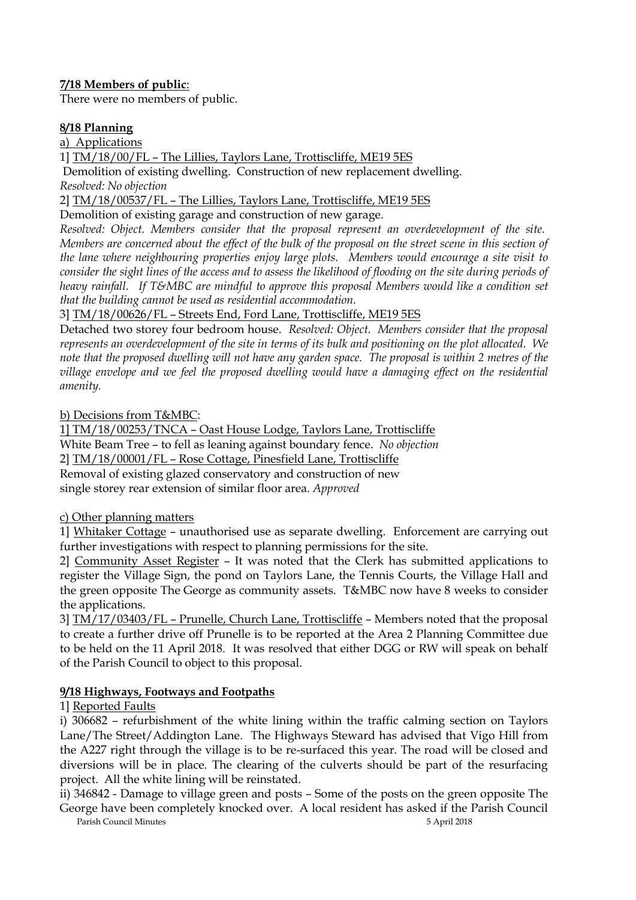# **7/18 Members of public**:

There were no members of public.

# **8/18 Planning**

a) Applications

1] TM/18/00/FL – The Lillies, Taylors Lane, Trottiscliffe, ME19 5ES Demolition of existing dwelling. Construction of new replacement dwelling. *Resolved: No objection*

2] TM/18/00537/FL – The Lillies, Taylors Lane, Trottiscliffe, ME19 5ES

Demolition of existing garage and construction of new garage.

*Resolved: Object. Members consider that the proposal represent an overdevelopment of the site. Members are concerned about the effect of the bulk of the proposal on the street scene in this section of the lane where neighbouring properties enjoy large plots. Members would encourage a site visit to consider the sight lines of the access and to assess the likelihood of flooding on the site during periods of heavy rainfall. If T&MBC are mindful to approve this proposal Members would like a condition set that the building cannot be used as residential accommodation.*

3] TM/18/00626/FL – Streets End, Ford Lane, Trottiscliffe, ME19 5ES

Detached two storey four bedroom house. *Resolved: Object. Members consider that the proposal represents an overdevelopment of the site in terms of its bulk and positioning on the plot allocated. We note that the proposed dwelling will not have any garden space. The proposal is within 2 metres of the village envelope and we feel the proposed dwelling would have a damaging effect on the residential amenity.*

b) Decisions from T&MBC:

1] TM/18/00253/TNCA – Oast House Lodge, Taylors Lane, Trottiscliffe White Beam Tree – to fell as leaning against boundary fence. *No objection* 2] TM/18/00001/FL – Rose Cottage, Pinesfield Lane, Trottiscliffe Removal of existing glazed conservatory and construction of new single storey rear extension of similar floor area. *Approved*

c) Other planning matters

1] Whitaker Cottage – unauthorised use as separate dwelling. Enforcement are carrying out further investigations with respect to planning permissions for the site.

2] Community Asset Register – It was noted that the Clerk has submitted applications to register the Village Sign, the pond on Taylors Lane, the Tennis Courts, the Village Hall and the green opposite The George as community assets. T&MBC now have 8 weeks to consider the applications.

3] TM/17/03403/FL – Prunelle, Church Lane, Trottiscliffe – Members noted that the proposal to create a further drive off Prunelle is to be reported at the Area 2 Planning Committee due to be held on the 11 April 2018. It was resolved that either DGG or RW will speak on behalf of the Parish Council to object to this proposal.

# **9/18 Highways, Footways and Footpaths**

# 1] Reported Faults

i) 306682 – refurbishment of the white lining within the traffic calming section on Taylors Lane/The Street/Addington Lane. The Highways Steward has advised that Vigo Hill from the A227 right through the village is to be re-surfaced this year. The road will be closed and diversions will be in place. The clearing of the culverts should be part of the resurfacing project. All the white lining will be reinstated.

ii) 346842 - Damage to village green and posts – Some of the posts on the green opposite The George have been completely knocked over. A local resident has asked if the Parish Council

Parish Council Minutes 5 April 2018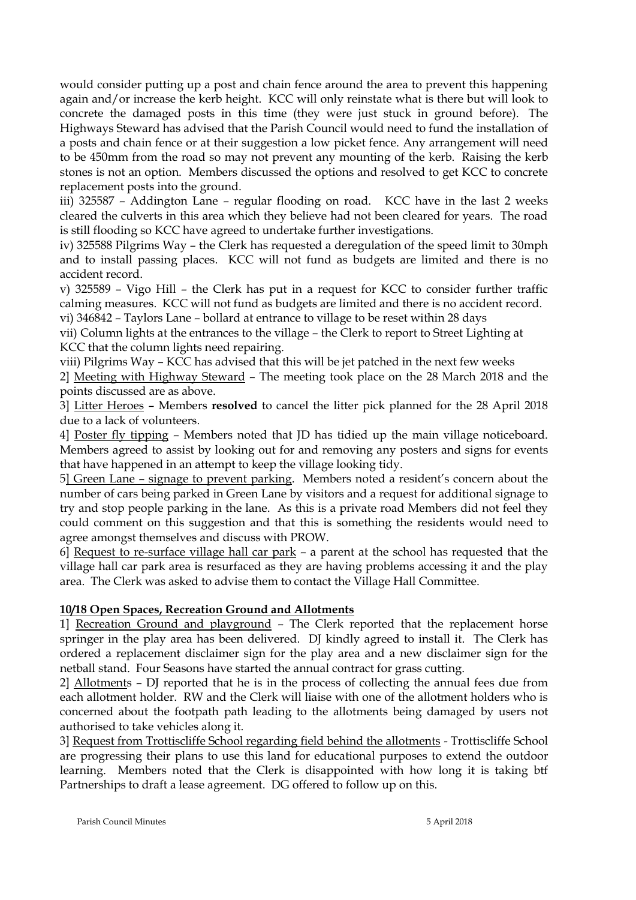would consider putting up a post and chain fence around the area to prevent this happening again and/or increase the kerb height. KCC will only reinstate what is there but will look to concrete the damaged posts in this time (they were just stuck in ground before). The Highways Steward has advised that the Parish Council would need to fund the installation of a posts and chain fence or at their suggestion a low picket fence. Any arrangement will need to be 450mm from the road so may not prevent any mounting of the kerb. Raising the kerb stones is not an option. Members discussed the options and resolved to get KCC to concrete replacement posts into the ground.

iii) 325587 – Addington Lane – regular flooding on road. KCC have in the last 2 weeks cleared the culverts in this area which they believe had not been cleared for years. The road is still flooding so KCC have agreed to undertake further investigations.

iv) 325588 Pilgrims Way – the Clerk has requested a deregulation of the speed limit to 30mph and to install passing places. KCC will not fund as budgets are limited and there is no accident record.

v) 325589 – Vigo Hill – the Clerk has put in a request for KCC to consider further traffic calming measures. KCC will not fund as budgets are limited and there is no accident record.

vi) 346842 – Taylors Lane – bollard at entrance to village to be reset within 28 days

vii) Column lights at the entrances to the village – the Clerk to report to Street Lighting at KCC that the column lights need repairing.

viii) Pilgrims Way – KCC has advised that this will be jet patched in the next few weeks

2] Meeting with Highway Steward – The meeting took place on the 28 March 2018 and the points discussed are as above.

3] Litter Heroes – Members **resolved** to cancel the litter pick planned for the 28 April 2018 due to a lack of volunteers.

4] Poster fly tipping – Members noted that JD has tidied up the main village noticeboard. Members agreed to assist by looking out for and removing any posters and signs for events that have happened in an attempt to keep the village looking tidy.

5] Green Lane – signage to prevent parking. Members noted a resident's concern about the number of cars being parked in Green Lane by visitors and a request for additional signage to try and stop people parking in the lane. As this is a private road Members did not feel they could comment on this suggestion and that this is something the residents would need to agree amongst themselves and discuss with PROW.

6] Request to re-surface village hall car park – a parent at the school has requested that the village hall car park area is resurfaced as they are having problems accessing it and the play area. The Clerk was asked to advise them to contact the Village Hall Committee.

## **10/18 Open Spaces, Recreation Ground and Allotments**

1] Recreation Ground and playground – The Clerk reported that the replacement horse springer in the play area has been delivered. DJ kindly agreed to install it. The Clerk has ordered a replacement disclaimer sign for the play area and a new disclaimer sign for the netball stand. Four Seasons have started the annual contract for grass cutting.

2] Allotments – DJ reported that he is in the process of collecting the annual fees due from each allotment holder. RW and the Clerk will liaise with one of the allotment holders who is concerned about the footpath path leading to the allotments being damaged by users not authorised to take vehicles along it.

3] Request from Trottiscliffe School regarding field behind the allotments - Trottiscliffe School are progressing their plans to use this land for educational purposes to extend the outdoor learning. Members noted that the Clerk is disappointed with how long it is taking btf Partnerships to draft a lease agreement. DG offered to follow up on this.